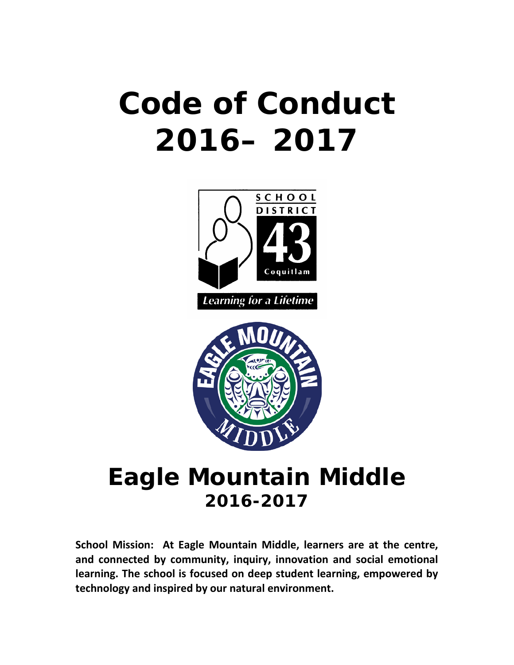# **Code of Conduct 2016– 2017**





# **Eagle Mountain Middle 2016-2017**

**School Mission: At Eagle Mountain Middle, learners are at the centre, and connected by community, inquiry, innovation and social emotional learning. The school is focused on deep student learning, empowered by technology and inspired by our natural environment.**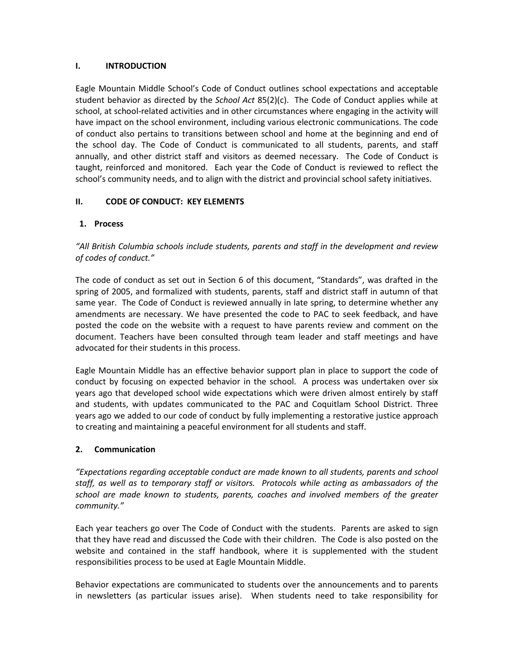#### **I. INTRODUCTION**

Eagle Mountain Middle School's Code of Conduct outlines school expectations and acceptable student behavior as directed by the *School Act* 85(2)(c). The Code of Conduct applies while at school, at school-related activities and in other circumstances where engaging in the activity will have impact on the school environment, including various electronic communications. The code of conduct also pertains to transitions between school and home at the beginning and end of the school day. The Code of Conduct is communicated to all students, parents, and staff annually, and other district staff and visitors as deemed necessary. The Code of Conduct is taught, reinforced and monitored. Each year the Code of Conduct is reviewed to reflect the school's community needs, and to align with the district and provincial school safety initiatives.

# **II. CODE OF CONDUCT: KEY ELEMENTS**

# **1. Process**

*"All British Columbia schools include students, parents and staff in the development and review of codes of conduct."*

The code of conduct as set out in Section 6 of this document, "Standards", was drafted in the spring of 2005, and formalized with students, parents, staff and district staff in autumn of that same year. The Code of Conduct is reviewed annually in late spring, to determine whether any amendments are necessary. We have presented the code to PAC to seek feedback, and have posted the code on the website with a request to have parents review and comment on the document. Teachers have been consulted through team leader and staff meetings and have advocated for their students in this process.

Eagle Mountain Middle has an effective behavior support plan in place to support the code of conduct by focusing on expected behavior in the school. A process was undertaken over six years ago that developed school wide expectations which were driven almost entirely by staff and students, with updates communicated to the PAC and Coquitlam School District. Three years ago we added to our code of conduct by fully implementing a restorative justice approach to creating and maintaining a peaceful environment for all students and staff.

#### **2. Communication**

*"Expectations regarding acceptable conduct are made known to all students, parents and school staff, as well as to temporary staff or visitors. Protocols while acting as ambassadors of the school are made known to students, parents, coaches and involved members of the greater community."*

Each year teachers go over The Code of Conduct with the students. Parents are asked to sign that they have read and discussed the Code with their children. The Code is also posted on the website and contained in the staff handbook, where it is supplemented with the student responsibilities process to be used at Eagle Mountain Middle.

Behavior expectations are communicated to students over the announcements and to parents in newsletters (as particular issues arise). When students need to take responsibility for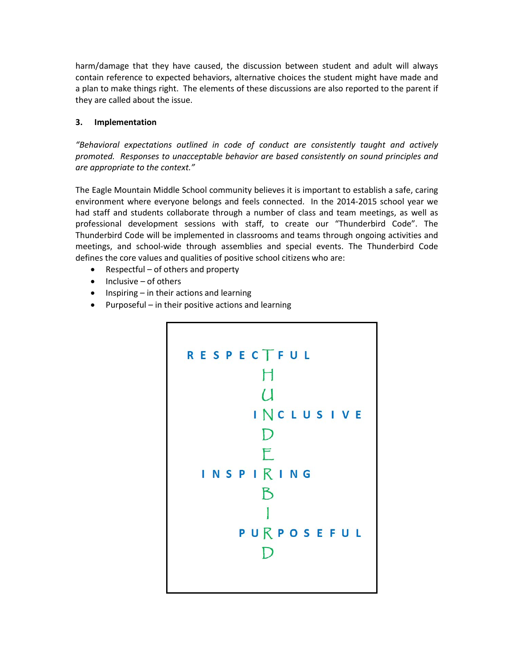harm/damage that they have caused, the discussion between student and adult will always contain reference to expected behaviors, alternative choices the student might have made and a plan to make things right. The elements of these discussions are also reported to the parent if they are called about the issue.

# **3. Implementation**

*"Behavioral expectations outlined in code of conduct are consistently taught and actively promoted. Responses to unacceptable behavior are based consistently on sound principles and are appropriate to the context."*

The Eagle Mountain Middle School community believes it is important to establish a safe, caring environment where everyone belongs and feels connected. In the 2014-2015 school year we had staff and students collaborate through a number of class and team meetings, as well as professional development sessions with staff, to create our "Thunderbird Code". The Thunderbird Code will be implemented in classrooms and teams through ongoing activities and meetings, and school-wide through assemblies and special events. The Thunderbird Code defines the core values and qualities of positive school citizens who are:

- Respectful of others and property
- Inclusive of others
- Inspiring in their actions and learning
- Purposeful in their positive actions and learning

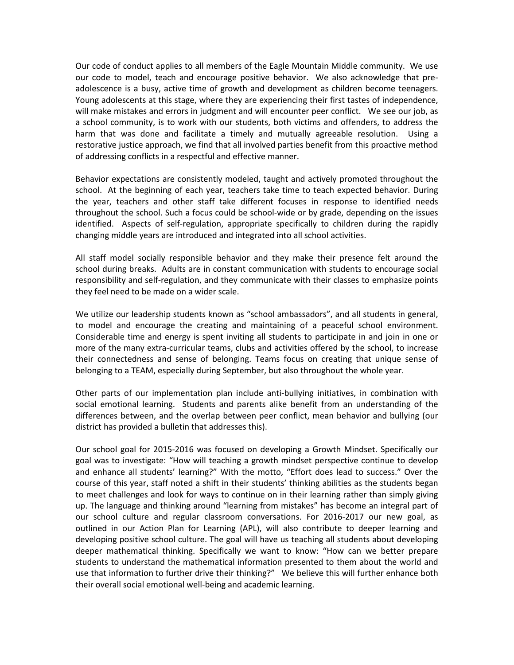Our code of conduct applies to all members of the Eagle Mountain Middle community. We use our code to model, teach and encourage positive behavior. We also acknowledge that preadolescence is a busy, active time of growth and development as children become teenagers. Young adolescents at this stage, where they are experiencing their first tastes of independence, will make mistakes and errors in judgment and will encounter peer conflict. We see our job, as a school community, is to work with our students, both victims and offenders, to address the harm that was done and facilitate a timely and mutually agreeable resolution. Using a restorative justice approach, we find that all involved parties benefit from this proactive method of addressing conflicts in a respectful and effective manner.

Behavior expectations are consistently modeled, taught and actively promoted throughout the school. At the beginning of each year, teachers take time to teach expected behavior. During the year, teachers and other staff take different focuses in response to identified needs throughout the school. Such a focus could be school-wide or by grade, depending on the issues identified. Aspects of self-regulation, appropriate specifically to children during the rapidly changing middle years are introduced and integrated into all school activities.

All staff model socially responsible behavior and they make their presence felt around the school during breaks. Adults are in constant communication with students to encourage social responsibility and self-regulation, and they communicate with their classes to emphasize points they feel need to be made on a wider scale.

We utilize our leadership students known as "school ambassadors", and all students in general, to model and encourage the creating and maintaining of a peaceful school environment. Considerable time and energy is spent inviting all students to participate in and join in one or more of the many extra-curricular teams, clubs and activities offered by the school, to increase their connectedness and sense of belonging. Teams focus on creating that unique sense of belonging to a TEAM, especially during September, but also throughout the whole year.

Other parts of our implementation plan include anti-bullying initiatives, in combination with social emotional learning. Students and parents alike benefit from an understanding of the differences between, and the overlap between peer conflict, mean behavior and bullying (our district has provided a bulletin that addresses this).

Our school goal for 2015-2016 was focused on developing a Growth Mindset. Specifically our goal was to investigate: "How will teaching a growth mindset perspective continue to develop and enhance all students' learning?" With the motto, "Effort does lead to success." Over the course of this year, staff noted a shift in their students' thinking abilities as the students began to meet challenges and look for ways to continue on in their learning rather than simply giving up. The language and thinking around "learning from mistakes" has become an integral part of our school culture and regular classroom conversations. For 2016-2017 our new goal, as outlined in our Action Plan for Learning (APL), will also contribute to deeper learning and developing positive school culture. The goal will have us teaching all students about developing deeper mathematical thinking. Specifically we want to know: "How can we better prepare students to understand the mathematical information presented to them about the world and use that information to further drive their thinking?" We believe this will further enhance both their overall social emotional well-being and academic learning.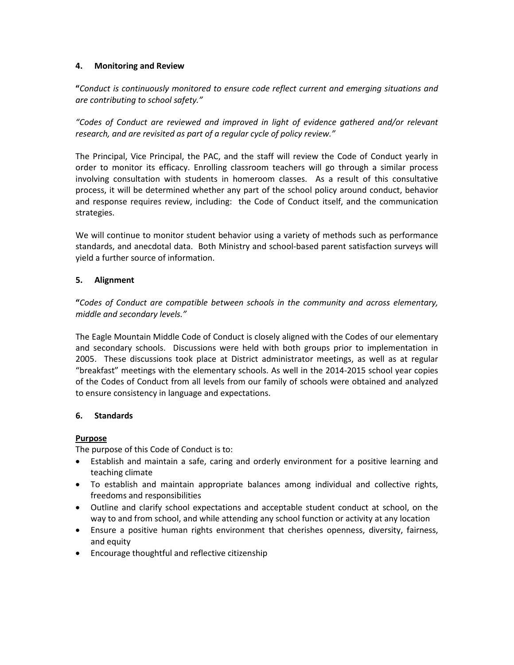#### **4. Monitoring and Review**

**"***Conduct is continuously monitored to ensure code reflect current and emerging situations and are contributing to school safety."*

*"Codes of Conduct are reviewed and improved in light of evidence gathered and/or relevant research, and are revisited as part of a regular cycle of policy review."*

The Principal, Vice Principal, the PAC, and the staff will review the Code of Conduct yearly in order to monitor its efficacy. Enrolling classroom teachers will go through a similar process involving consultation with students in homeroom classes. As a result of this consultative process, it will be determined whether any part of the school policy around conduct, behavior and response requires review, including: the Code of Conduct itself, and the communication strategies.

We will continue to monitor student behavior using a variety of methods such as performance standards, and anecdotal data. Both Ministry and school-based parent satisfaction surveys will yield a further source of information.

#### **5. Alignment**

**"***Codes of Conduct are compatible between schools in the community and across elementary, middle and secondary levels."*

The Eagle Mountain Middle Code of Conduct is closely aligned with the Codes of our elementary and secondary schools. Discussions were held with both groups prior to implementation in 2005. These discussions took place at District administrator meetings, as well as at regular "breakfast" meetings with the elementary schools. As well in the 2014-2015 school year copies of the Codes of Conduct from all levels from our family of schools were obtained and analyzed to ensure consistency in language and expectations.

#### **6. Standards**

#### **Purpose**

The purpose of this Code of Conduct is to:

- Establish and maintain a safe, caring and orderly environment for a positive learning and teaching climate
- To establish and maintain appropriate balances among individual and collective rights, freedoms and responsibilities
- Outline and clarify school expectations and acceptable student conduct at school, on the way to and from school, and while attending any school function or activity at any location
- Ensure a positive human rights environment that cherishes openness, diversity, fairness, and equity
- Encourage thoughtful and reflective citizenship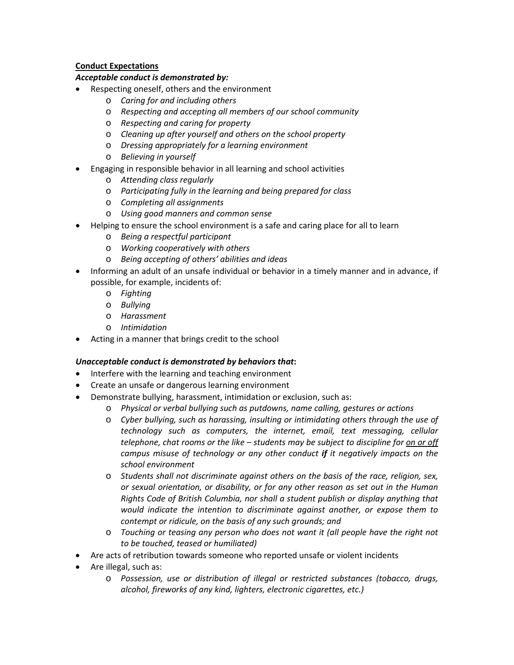# **Conduct Expectations**

# *Acceptable conduct is demonstrated by:*

- Respecting oneself, others and the environment
	- o *Caring for and including others*
	- o *Respecting and accepting all members of our school community*
	- o *Respecting and caring for property*
	- o *Cleaning up after yourself and others on the school property*
	- o *Dressing appropriately for a learning environment*
	- o *Believing in yourself*
- Engaging in responsible behavior in all learning and school activities
	- o *Attending class regularly*
	- o *Participating fully in the learning and being prepared for class*
	- o *Completing all assignments*
	- o *Using good manners and common sense*
- Helping to ensure the school environment is a safe and caring place for all to learn
	- o *Being a respectful participant*
	- o *Working cooperatively with others*
	- o *Being accepting of others' abilities and ideas*
- Informing an adult of an unsafe individual or behavior in a timely manner and in advance, if possible, for example, incidents of:
	- o *Fighting*
	- o *Bullying*
	- o *Harassment*
	- o *Intimidation*
- Acting in a manner that brings credit to the school

#### *Unacceptable conduct is demonstrated by behaviors that***:**

- Interfere with the learning and teaching environment
- Create an unsafe or dangerous learning environment
- Demonstrate bullying, harassment, intimidation or exclusion, such as:
	- o *Physical or verbal bullying such as putdowns, name calling, gestures or actions*
	- o *Cyber bullying, such as harassing, insulting or intimidating others through the use of technology such as computers, the internet, email, text messaging, cellular telephone, chat rooms or the like – students may be subject to discipline for on or off campus misuse of technology or any other conduct if it negatively impacts on the school environment*
	- o *Students shall not discriminate against others on the basis of the race, religion, sex, or sexual orientation, or disability, or for any other reason as set out in the Human Rights Code of British Columbia, nor shall a student publish or display anything that would indicate the intention to discriminate against another, or expose them to contempt or ridicule, on the basis of any such grounds; and*
	- o *Touching or teasing any person who does not want it (all people have the right not to be touched, teased or humiliated)*
- Are acts of retribution towards someone who reported unsafe or violent incidents
- Are illegal, such as:
	- o *Possession, use or distribution of illegal or restricted substances (tobacco, drugs, alcohol, fireworks of any kind, lighters, electronic cigarettes, etc.)*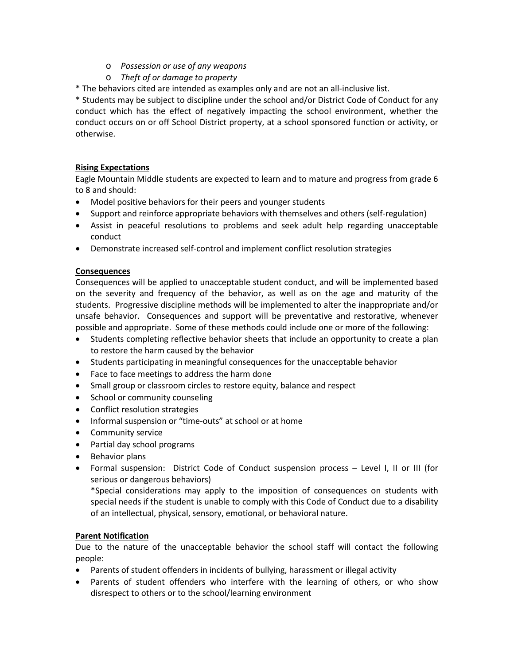- o *Possession or use of any weapons*
- o *Theft of or damage to property*
- \* The behaviors cited are intended as examples only and are not an all-inclusive list.

\* Students may be subject to discipline under the school and/or District Code of Conduct for any conduct which has the effect of negatively impacting the school environment, whether the conduct occurs on or off School District property, at a school sponsored function or activity, or otherwise.

# **Rising Expectations**

Eagle Mountain Middle students are expected to learn and to mature and progress from grade 6 to 8 and should:

- Model positive behaviors for their peers and younger students
- Support and reinforce appropriate behaviors with themselves and others (self-regulation)
- Assist in peaceful resolutions to problems and seek adult help regarding unacceptable conduct
- Demonstrate increased self-control and implement conflict resolution strategies

#### **Consequences**

Consequences will be applied to unacceptable student conduct, and will be implemented based on the severity and frequency of the behavior, as well as on the age and maturity of the students. Progressive discipline methods will be implemented to alter the inappropriate and/or unsafe behavior. Consequences and support will be preventative and restorative, whenever possible and appropriate. Some of these methods could include one or more of the following:

- Students completing reflective behavior sheets that include an opportunity to create a plan to restore the harm caused by the behavior
- Students participating in meaningful consequences for the unacceptable behavior
- Face to face meetings to address the harm done
- Small group or classroom circles to restore equity, balance and respect
- School or community counseling
- Conflict resolution strategies
- Informal suspension or "time-outs" at school or at home
- Community service
- Partial day school programs
- Behavior plans
- Formal suspension: District Code of Conduct suspension process Level I, II or III (for serious or dangerous behaviors)

\*Special considerations may apply to the imposition of consequences on students with special needs if the student is unable to comply with this Code of Conduct due to a disability of an intellectual, physical, sensory, emotional, or behavioral nature.

#### **Parent Notification**

Due to the nature of the unacceptable behavior the school staff will contact the following people:

- Parents of student offenders in incidents of bullying, harassment or illegal activity
- Parents of student offenders who interfere with the learning of others, or who show disrespect to others or to the school/learning environment